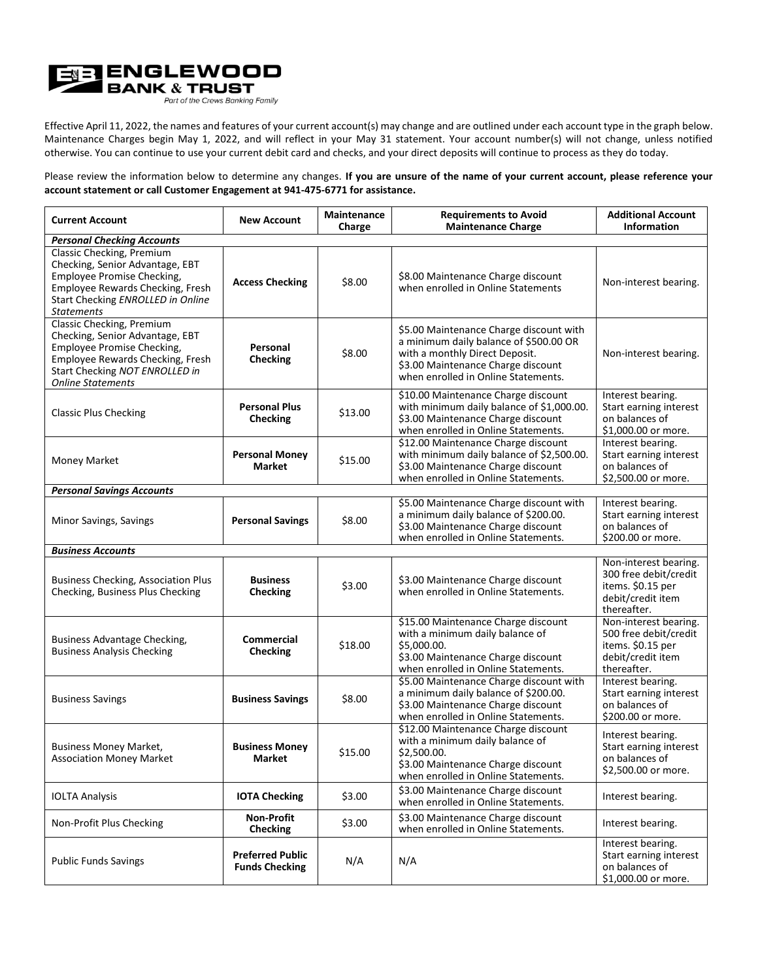

Effective April 11, 2022, the names and features of your current account(s) may change and are outlined under each account type in the graph below. Maintenance Charges begin May 1, 2022, and will reflect in your May 31 statement. Your account number(s) will not change, unless notified otherwise. You can continue to use your current debit card and checks, and your direct deposits will continue to process as they do today.

Please review the information below to determine any changes. **If you are unsure of the name of your current account, please reference your account statement or call Customer Engagement at 941-475-6771 for assistance.**

| <b>Current Account</b>                                                                                                                                                                       | <b>New Account</b>                               | Maintenance<br>Charge | <b>Requirements to Avoid</b><br><b>Maintenance Charge</b>                                                                                                                                        | <b>Additional Account</b><br><b>Information</b>                                                         |  |
|----------------------------------------------------------------------------------------------------------------------------------------------------------------------------------------------|--------------------------------------------------|-----------------------|--------------------------------------------------------------------------------------------------------------------------------------------------------------------------------------------------|---------------------------------------------------------------------------------------------------------|--|
| <b>Personal Checking Accounts</b>                                                                                                                                                            |                                                  |                       |                                                                                                                                                                                                  |                                                                                                         |  |
| Classic Checking, Premium<br>Checking, Senior Advantage, EBT<br>Employee Promise Checking,<br>Employee Rewards Checking, Fresh<br>Start Checking ENROLLED in Online<br>Statements            | <b>Access Checking</b>                           | \$8.00                | \$8.00 Maintenance Charge discount<br>when enrolled in Online Statements                                                                                                                         | Non-interest bearing.                                                                                   |  |
| Classic Checking, Premium<br>Checking, Senior Advantage, EBT<br>Employee Promise Checking,<br>Employee Rewards Checking, Fresh<br>Start Checking NOT ENROLLED in<br><b>Online Statements</b> | Personal<br><b>Checking</b>                      | \$8.00                | \$5.00 Maintenance Charge discount with<br>a minimum daily balance of \$500.00 OR<br>with a monthly Direct Deposit.<br>\$3.00 Maintenance Charge discount<br>when enrolled in Online Statements. | Non-interest bearing.                                                                                   |  |
| <b>Classic Plus Checking</b>                                                                                                                                                                 | <b>Personal Plus</b><br><b>Checking</b>          | \$13.00               | \$10.00 Maintenance Charge discount<br>with minimum daily balance of \$1,000.00.<br>\$3.00 Maintenance Charge discount<br>when enrolled in Online Statements.                                    | Interest bearing.<br>Start earning interest<br>on balances of<br>\$1,000.00 or more.                    |  |
| Money Market                                                                                                                                                                                 | <b>Personal Money</b><br><b>Market</b>           | \$15.00               | \$12.00 Maintenance Charge discount<br>with minimum daily balance of \$2,500.00.<br>\$3.00 Maintenance Charge discount<br>when enrolled in Online Statements.                                    | Interest bearing.<br>Start earning interest<br>on balances of<br>\$2,500.00 or more.                    |  |
| <b>Personal Savings Accounts</b>                                                                                                                                                             |                                                  |                       |                                                                                                                                                                                                  |                                                                                                         |  |
| Minor Savings, Savings                                                                                                                                                                       | <b>Personal Savings</b>                          | \$8.00                | \$5.00 Maintenance Charge discount with<br>a minimum daily balance of \$200.00.<br>\$3.00 Maintenance Charge discount<br>when enrolled in Online Statements.                                     | Interest bearing.<br>Start earning interest<br>on balances of<br>\$200.00 or more.                      |  |
| <b>Business Accounts</b>                                                                                                                                                                     |                                                  |                       |                                                                                                                                                                                                  |                                                                                                         |  |
| <b>Business Checking, Association Plus</b><br>Checking, Business Plus Checking                                                                                                               | <b>Business</b><br><b>Checking</b>               | \$3.00                | \$3.00 Maintenance Charge discount<br>when enrolled in Online Statements.                                                                                                                        | Non-interest bearing.<br>300 free debit/credit<br>items. \$0.15 per<br>debit/credit item<br>thereafter. |  |
| Business Advantage Checking,<br><b>Business Analysis Checking</b>                                                                                                                            | Commercial<br>Checking                           | \$18.00               | \$15.00 Maintenance Charge discount<br>with a minimum daily balance of<br>\$5,000.00.<br>\$3.00 Maintenance Charge discount<br>when enrolled in Online Statements.                               | Non-interest bearing.<br>500 free debit/credit<br>items. \$0.15 per<br>debit/credit item<br>thereafter. |  |
| <b>Business Savings</b>                                                                                                                                                                      | <b>Business Savings</b>                          | \$8.00                | \$5.00 Maintenance Charge discount with<br>a minimum daily balance of \$200.00.<br>\$3.00 Maintenance Charge discount<br>when enrolled in Online Statements.                                     | Interest bearing.<br>Start earning interest<br>on balances of<br>\$200.00 or more.                      |  |
| <b>Business Money Market,</b><br><b>Association Money Market</b>                                                                                                                             | <b>Business Money</b><br><b>Market</b>           | \$15.00               | \$12.00 Maintenance Charge discount<br>with a minimum daily balance of<br>\$2,500.00.<br>\$3.00 Maintenance Charge discount<br>when enrolled in Online Statements.                               | Interest bearing.<br>Start earning interest<br>on balances of<br>\$2,500.00 or more.                    |  |
| <b>IOLTA Analysis</b>                                                                                                                                                                        | <b>IOTA Checking</b>                             | \$3.00                | \$3.00 Maintenance Charge discount<br>when enrolled in Online Statements.                                                                                                                        | Interest bearing.                                                                                       |  |
| Non-Profit Plus Checking                                                                                                                                                                     | Non-Profit<br><b>Checking</b>                    | \$3.00                | \$3.00 Maintenance Charge discount<br>when enrolled in Online Statements.                                                                                                                        | Interest bearing.                                                                                       |  |
| <b>Public Funds Savings</b>                                                                                                                                                                  | <b>Preferred Public</b><br><b>Funds Checking</b> | N/A                   | N/A                                                                                                                                                                                              | Interest bearing.<br>Start earning interest<br>on balances of<br>\$1,000.00 or more.                    |  |